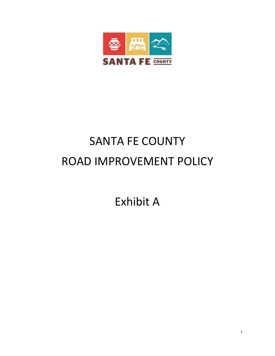

## SANTA FE COUNTY ROAD IMPROVEMENT POLICY

Exhibit A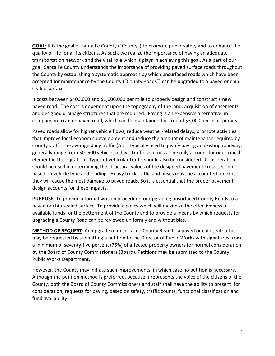**GOAL:** It is the goal of Santa Fe County ("County") to promote public safety and to enhance the quality of life for all its citizens. As such, we realize the importance of having an adequate transportation network and the vital role which it plays in achieving this goal. As a part of our goal, Santa Fe County understands the importance of providing paved surface roads throughout the County by establishing a systematic approach by which unsurfaced roads which have been accepted for maintenance by the County ("County Roads") can be upgraded to a paved or chip sealed surface.

It costs between \$400,000 and \$1,000,000 per mile to properly design and construct a new paved road. The cost is dependent upon the topography of the land, acquisition of easements and designed drainage structures that are required. Paving is an expensive alternative, in comparison to an unpaved road, which can be maintained for around \$3,000 per mile, per year.

Paved roads allow for higher vehicle flows, reduce weather-related delays, promote activities that improve local economic development and reduce the amount of maintenance required by County staff. The average daily traffic (ADT) typically used to justify paving an existing roadway, generally range from 50- 500 vehicles a day. Traffic volumes alone only account for one critical element in the equation. Types of vehicular traffic should also be considered. Consideration should be used in determining the structural values of the designed pavement cross-section, based on vehicle type and loading. Heavy truck traffic and buses must be accounted for, since they will cause the most damage to paved roads. So it is essential that the proper pavement design accounts for these impacts.

**PURPOSE**: To provide a formal written procedure for upgrading unsurfaced County Roads to a paved or chip sealed surface. To provide a policy which will maximize the effectiveness of available funds for the betterment of the County and to provide a means by which requests for upgrading a County Road can be reviewed uniformly and without bias.

**METHOD OF REQUEST**: An upgrade of unsurfaced County Road to a paved or chip seal surface may be requested by submitting a petition to the Director of Public Works with signatures from a minimum of seventy-five percent (75%) of affected property owners for normal consideration by the Board of County Commissioners (Board). Petitions may be submitted to the County Public Works Department.

However, the County may initiate such improvements, in which case no petition is necessary. Although the petition method is preferred, because it represents the voice of the citizens of the County, both the Board of County Commissioners and staff shall have the ability to present, for consideration, requests for paving, based on safety, traffic counts, functional classification and fund availability.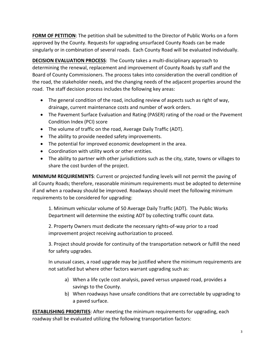**FORM OF PETITION**: The petition shall be submitted to the Director of Public Works on a form approved by the County. Requests for upgrading unsurfaced County Roads can be made singularly or in combination of several roads. Each County Road will be evaluated individually.

**DECISION EVALUATION PROCESS**: The County takes a multi-disciplinary approach to determining the renewal, replacement and improvement of County Roads by staff and the Board of County Commissioners. The process takes into consideration the overall condition of the road, the stakeholder needs, and the changing needs of the adjacent properties around the road. The staff decision process includes the following key areas:

- The general condition of the road, including review of aspects such as right of way, drainage, current maintenance costs and number of work orders.
- The Pavement Surface Evaluation and Rating (PASER) rating of the road or the Pavement Condition Index (PCI) score
- The volume of traffic on the road, Average Daily Traffic (ADT).
- The ability to provide needed safety improvements.
- The potential for improved economic development in the area.
- Coordination with utility work or other entities.
- The ability to partner with other jurisdictions such as the city, state, towns or villages to share the cost burden of the project.

**MINIMUM REQUIREMENTS**: Current or projected funding levels will not permit the paving of all County Roads; therefore, reasonable minimum requirements must be adopted to determine if and when a roadway should be improved. Roadways should meet the following minimum requirements to be considered for upgrading:

1. Minimum vehicular volume of 50 Average Daily Traffic (ADT). The Public Works Department will determine the existing ADT by collecting traffic count data.

2. Property Owners must dedicate the necessary rights-of-way prior to a road improvement project receiving authorization to proceed.

3. Project should provide for continuity of the transportation network or fulfill the need for safety upgrades.

In unusual cases, a road upgrade may be justified where the minimum requirements are not satisfied but where other factors warrant upgrading such as:

- a) When a life cycle cost analysis, paved versus unpaved road, provides a savings to the County.
- b) When roadways have unsafe conditions that are correctable by upgrading to a paved surface.

**ESTABLISHING PRIORITIES**: After meeting the minimum requirements for upgrading, each roadway shall be evaluated utilizing the following transportation factors: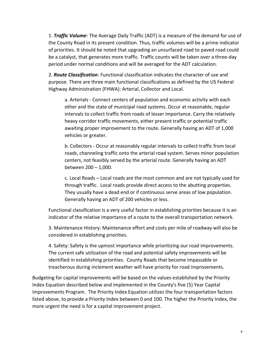1. *Traffic Volume*: The Average Daily Traffic (ADT) is a measure of the demand for use of the County Road in its present condition. Thus, traffic volumes will be a prime indicator of priorities. It should be noted that upgrading an unsurfaced road to paved road could be a catalyst, that generates more traffic. Traffic counts will be taken over a three-day period under normal conditions and will be averaged for the ADT calculation.

2. *Route Classification*: Functional classification indicates the character of use and purpose. There are three main functional classifications as defined by the US Federal Highway Administration (FHWA): Arterial, Collector and Local.

a. Arterials - Connect centers of population and economic activity with each other and the state of municipal road systems. Occur at reasonable, regular intervals to collect traffic from roads of lesser importance. Carry the relatively heavy corridor traffic movements, either present traffic or potential traffic awaiting proper improvement to the route. Generally having an ADT of 1,000 vehicles or greater.

b. Collectors - Occur at reasonably regular intervals to collect traffic from local roads, channeling traffic onto the arterial road system. Serves minor population centers, not feasibly served by the arterial route. Generally having an ADT between 200 – 1,000.

c. Local Roads – Local roads are the most common and are not typically used for through traffic. Local roads provide direct access to the abutting properties. They usually have a dead end or if continuous serve areas of low population. Generally having an ADT of 200 vehicles or less.

Functional classification is a very useful factor in establishing priorities because it is an indicator of the relative importance of a route to the overall transportation network.

3. Maintenance History: Maintenance effort and costs per mile of roadway will also be considered in establishing priorities.

4. Safety: Safety is the upmost importance while prioritizing our road improvements. The current safe utilization of the road and potential safety improvements will be identified in establishing priorities. County Roads that become impassable or treacherous during inclement weather will have priority for road improvements.

Budgeting for capital improvements will be based on the values established by the Priority Index Equation described below and implemented in the County's five (5) Year Capital Improvements Program. The Priority Index Equation utilizes the four transportation factors listed above, to provide a Priority Index between 0 and 100. The higher the Priority Index, the more urgent the need is for a capital improvement project.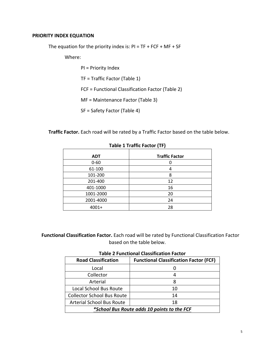## **PRIORITY INDEX EQUATION**

The equation for the priority index is:  $PI = TF + FCF + MF + SF$ 

Where:

PI = Priority Index TF = Traffic Factor (Table 1) FCF = Functional Classification Factor (Table 2) MF = Maintenance Factor (Table 3) SF = Safety Factor (Table 4)

**Traffic Factor.** Each road will be rated by a Traffic Factor based on the table below.

| <b>ADT</b> | <b>Traffic Factor</b> |
|------------|-----------------------|
| $0 - 60$   |                       |
| 61-100     |                       |
| 101-200    | 8                     |
| 201-400    | 12                    |
| 401-1000   | 16                    |
| 1001-2000  | 20                    |
| 2001-4000  | 24                    |
| $4001+$    | 28                    |

## **Table 1 Traffic Factor (TF)**

 **Functional Classification Factor.** Each road will be rated by Functional Classification Factor based on the table below.

| <b>Table 2 Functional Classification Factor</b> |  |  |
|-------------------------------------------------|--|--|
|-------------------------------------------------|--|--|

| <b>Road Classification</b>                  | <b>Functional Classification Factor (FCF)</b> |  |
|---------------------------------------------|-----------------------------------------------|--|
| Local                                       |                                               |  |
| Collector                                   |                                               |  |
| Arterial                                    | 8                                             |  |
| Local School Bus Route                      | 10                                            |  |
| <b>Collector School Bus Route</b>           | 14                                            |  |
| <b>Arterial School Bus Route</b>            | 18                                            |  |
| *School Bus Route adds 10 points to the FCF |                                               |  |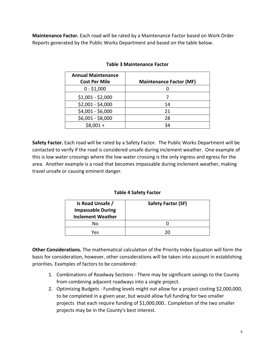**Maintenance Factor.** Each road will be rated by a Maintenance Factor based on Work Order Reports generated by the Public Works Department and based on the table below.

| <b>Annual Maintenance</b><br><b>Cost Per Mile</b> | <b>Maintenance Factor (MF)</b> |
|---------------------------------------------------|--------------------------------|
| $0 - $1,000$                                      |                                |
| $$1,001 - $2,000$                                 |                                |
| $$2,001 - $4,000$                                 | 14                             |
| \$4,001 - \$6,000                                 | 21                             |
| \$6,001 - \$8,000                                 | 28                             |
| $$8,001 +$                                        | 34                             |

## **Table 3 Maintenance Factor**

**Safety Factor.** Each road will be rated by a Safety Factor. The Public Works Department will be contacted to verify if the road is considered unsafe during inclement weather. One example of this is low water crossings where the low water crossing is the only ingress and egress for the area. Another example is a road that becomes impassable during inclement weather, making travel unsafe or causing eminent danger.

**Table 4 Safety Factor**

| Is Road Unsafe /<br><b>Impassable During</b><br><b>Inclement Weather</b> | <b>Safety Factor (SF)</b> |
|--------------------------------------------------------------------------|---------------------------|
| No                                                                       |                           |
| Yes                                                                      |                           |

**Other Considerations.** The mathematical calculation of the Priority Index Equation will form the basis for consideration, however, other considerations will be taken into account in establishing priorities. Examples of factors to be considered:

- 1. Combinations of Roadway Sections There may be significant savings to the County from combining adjacent roadways into a single project.
- 2. Optimizing Budgets Funding levels might not allow for a project costing \$2,000,000, to be completed in a given year, but would allow full funding for two smaller projects that each require funding of \$1,000,000.. Completion of the two smaller projects may be in the County's best interest.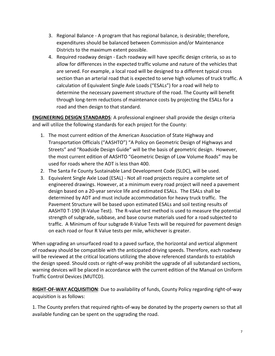- 3. Regional Balance A program that has regional balance, is desirable; therefore, expenditures should be balanced between Commission and/or Maintenance Districts to the maximum extent possible.
- 4. Required roadway design Each roadway will have specific design criteria, so as to allow for differences in the expected traffic volume and nature of the vehicles that are served. For example, a local road will be designed to a different typical cross section than an arterial road that is expected to serve high volumes of truck traffic. A calculation of Equivalent Single Axle Loads ("ESALs") for a road will help to determine the necessary pavement structure of the road. The County will benefit through long-term reductions of maintenance costs by projecting the ESALs for a road and then design to that standard.

**ENGINEERING DESIGN STANDARDS**: A professional engineer shall provide the design criteria and will utilize the following standards for each project for the County:

- 1. The most current edition of the American Association of State Highway and Transportation Officials ("AASHTO") "A Policy on Geometric Design of Highways and Streets" and "Roadside Design Guide" will be the basis of geometric design. However, the most current edition of AASHTO "Geometric Design of Low Volume Roads" may be used for roads where the ADT is less than 400.
- 2. The Santa Fe County Sustainable Land Development Code (SLDC), will be used.
- 3. Equivalent Single Axle Load (ESAL) Not all road projects require a complete set of engineered drawings. However, at a minimum every road project will need a pavement design based on a 20-year service life and estimated ESALs. The ESALs shall be determined by ADT and must include accommodation for heavy truck traffic. The Pavement Structure will be based upon estimated ESALs and soil testing results of AASHT0 T-190 (R-Value Test). The R-value test method is used to measure the potential strength of subgrade, subbase, and base course materials used for a road subjected to traffic. A Minimum of four subgrade R-Value Tests will be required for pavement design on each road or four R Value tests per mile, whichever is greater.

When upgrading an unsurfaced road to a paved surface, the horizontal and vertical alignment of roadway should be compatible with the anticipated driving speeds. Therefore, each roadway will be reviewed at the critical locations utilizing the above referenced standards to establish the design speed. Should costs or right-of-way prohibit the upgrade of all substandard sections, warning devices will be placed in accordance with the current edition of the Manual on Uniform Traffic Control Devices (MUTCD).

**RIGHT-OF-WAY ACQUISITION**: Due to availability of funds, County Policy regarding right-of-way acquisition is as follows:

1. The County prefers that required rights-of-way be donated by the property owners so that all available funding can be spent on the upgrading the road.